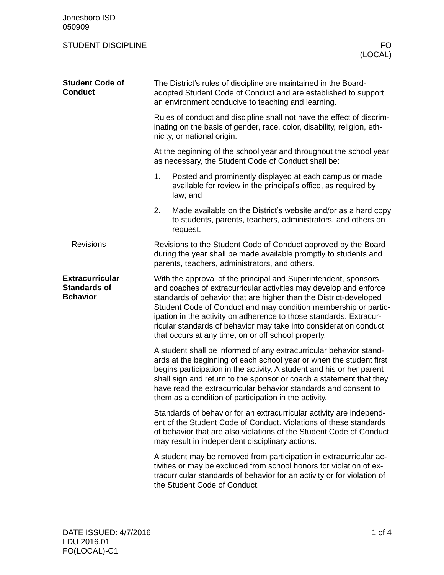| Jonesboro ISD<br>050909                                          |                                                                                                                                                                                                                                                                                                                                                                                                                                                                                |                                                                                                                                                                                                                                                                                                                                                                                                                       |  |
|------------------------------------------------------------------|--------------------------------------------------------------------------------------------------------------------------------------------------------------------------------------------------------------------------------------------------------------------------------------------------------------------------------------------------------------------------------------------------------------------------------------------------------------------------------|-----------------------------------------------------------------------------------------------------------------------------------------------------------------------------------------------------------------------------------------------------------------------------------------------------------------------------------------------------------------------------------------------------------------------|--|
| <b>STUDENT DISCIPLINE</b>                                        |                                                                                                                                                                                                                                                                                                                                                                                                                                                                                | FO.<br>(LOCAL)                                                                                                                                                                                                                                                                                                                                                                                                        |  |
| <b>Student Code of</b><br><b>Conduct</b>                         | The District's rules of discipline are maintained in the Board-<br>adopted Student Code of Conduct and are established to support<br>an environment conducive to teaching and learning.                                                                                                                                                                                                                                                                                        |                                                                                                                                                                                                                                                                                                                                                                                                                       |  |
|                                                                  | Rules of conduct and discipline shall not have the effect of discrim-<br>inating on the basis of gender, race, color, disability, religion, eth-<br>nicity, or national origin.                                                                                                                                                                                                                                                                                                |                                                                                                                                                                                                                                                                                                                                                                                                                       |  |
|                                                                  | At the beginning of the school year and throughout the school year<br>as necessary, the Student Code of Conduct shall be:                                                                                                                                                                                                                                                                                                                                                      |                                                                                                                                                                                                                                                                                                                                                                                                                       |  |
|                                                                  | 1.                                                                                                                                                                                                                                                                                                                                                                                                                                                                             | Posted and prominently displayed at each campus or made<br>available for review in the principal's office, as required by<br>law; and                                                                                                                                                                                                                                                                                 |  |
|                                                                  | 2.                                                                                                                                                                                                                                                                                                                                                                                                                                                                             | Made available on the District's website and/or as a hard copy<br>to students, parents, teachers, administrators, and others on<br>request.                                                                                                                                                                                                                                                                           |  |
| <b>Revisions</b>                                                 |                                                                                                                                                                                                                                                                                                                                                                                                                                                                                | Revisions to the Student Code of Conduct approved by the Board<br>during the year shall be made available promptly to students and<br>parents, teachers, administrators, and others.                                                                                                                                                                                                                                  |  |
| <b>Extracurricular</b><br><b>Standards of</b><br><b>Behavior</b> | With the approval of the principal and Superintendent, sponsors<br>and coaches of extracurricular activities may develop and enforce<br>standards of behavior that are higher than the District-developed<br>Student Code of Conduct and may condition membership or partic-<br>ipation in the activity on adherence to those standards. Extracur-<br>ricular standards of behavior may take into consideration conduct<br>that occurs at any time, on or off school property. |                                                                                                                                                                                                                                                                                                                                                                                                                       |  |
|                                                                  |                                                                                                                                                                                                                                                                                                                                                                                                                                                                                | A student shall be informed of any extracurricular behavior stand-<br>ards at the beginning of each school year or when the student first<br>begins participation in the activity. A student and his or her parent<br>shall sign and return to the sponsor or coach a statement that they<br>have read the extracurricular behavior standards and consent to<br>them as a condition of participation in the activity. |  |
|                                                                  |                                                                                                                                                                                                                                                                                                                                                                                                                                                                                | Standards of behavior for an extracurricular activity are independ-<br>ent of the Student Code of Conduct. Violations of these standards<br>of behavior that are also violations of the Student Code of Conduct<br>may result in independent disciplinary actions.                                                                                                                                                    |  |
|                                                                  |                                                                                                                                                                                                                                                                                                                                                                                                                                                                                | A student may be removed from participation in extracurricular ac-<br>tivities or may be excluded from school honors for violation of ex-<br>tracurricular standards of behavior for an activity or for violation of<br>the Student Code of Conduct.                                                                                                                                                                  |  |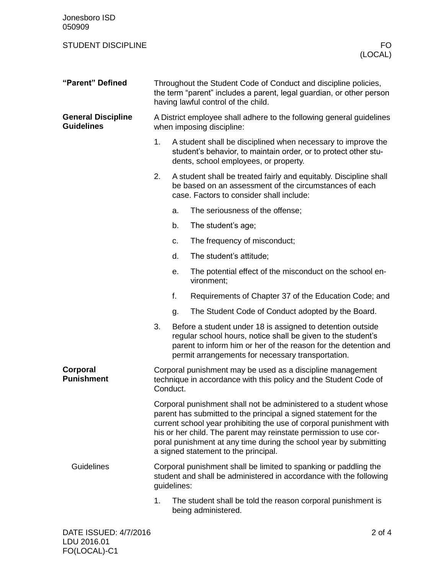| Jonesboro ISD<br>050909                        |                                                                                                                                                                                                                                                                                                                                                                                               |                                                                                                                                                                                                                                                    |  |
|------------------------------------------------|-----------------------------------------------------------------------------------------------------------------------------------------------------------------------------------------------------------------------------------------------------------------------------------------------------------------------------------------------------------------------------------------------|----------------------------------------------------------------------------------------------------------------------------------------------------------------------------------------------------------------------------------------------------|--|
| <b>STUDENT DISCIPLINE</b>                      |                                                                                                                                                                                                                                                                                                                                                                                               | FO.<br>(LOCAL)                                                                                                                                                                                                                                     |  |
| "Parent" Defined                               | Throughout the Student Code of Conduct and discipline policies,<br>the term "parent" includes a parent, legal guardian, or other person<br>having lawful control of the child.                                                                                                                                                                                                                |                                                                                                                                                                                                                                                    |  |
| <b>General Discipline</b><br><b>Guidelines</b> | A District employee shall adhere to the following general guidelines<br>when imposing discipline:                                                                                                                                                                                                                                                                                             |                                                                                                                                                                                                                                                    |  |
|                                                | 1.                                                                                                                                                                                                                                                                                                                                                                                            | A student shall be disciplined when necessary to improve the<br>student's behavior, to maintain order, or to protect other stu-<br>dents, school employees, or property.                                                                           |  |
|                                                | 2.                                                                                                                                                                                                                                                                                                                                                                                            | A student shall be treated fairly and equitably. Discipline shall<br>be based on an assessment of the circumstances of each<br>case. Factors to consider shall include:                                                                            |  |
|                                                |                                                                                                                                                                                                                                                                                                                                                                                               | The seriousness of the offense;<br>a.                                                                                                                                                                                                              |  |
|                                                |                                                                                                                                                                                                                                                                                                                                                                                               | b.<br>The student's age;                                                                                                                                                                                                                           |  |
|                                                |                                                                                                                                                                                                                                                                                                                                                                                               | The frequency of misconduct;<br>c.                                                                                                                                                                                                                 |  |
|                                                |                                                                                                                                                                                                                                                                                                                                                                                               | The student's attitude;<br>d.                                                                                                                                                                                                                      |  |
|                                                |                                                                                                                                                                                                                                                                                                                                                                                               | The potential effect of the misconduct on the school en-<br>е.<br>vironment;                                                                                                                                                                       |  |
|                                                |                                                                                                                                                                                                                                                                                                                                                                                               | f.<br>Requirements of Chapter 37 of the Education Code; and                                                                                                                                                                                        |  |
|                                                |                                                                                                                                                                                                                                                                                                                                                                                               | The Student Code of Conduct adopted by the Board.<br>g.                                                                                                                                                                                            |  |
|                                                | 3.                                                                                                                                                                                                                                                                                                                                                                                            | Before a student under 18 is assigned to detention outside<br>regular school hours, notice shall be given to the student's<br>parent to inform him or her of the reason for the detention and<br>permit arrangements for necessary transportation. |  |
| Corporal<br><b>Punishment</b>                  | Corporal punishment may be used as a discipline management<br>technique in accordance with this policy and the Student Code of<br>Conduct.                                                                                                                                                                                                                                                    |                                                                                                                                                                                                                                                    |  |
|                                                | Corporal punishment shall not be administered to a student whose<br>parent has submitted to the principal a signed statement for the<br>current school year prohibiting the use of corporal punishment with<br>his or her child. The parent may reinstate permission to use cor-<br>poral punishment at any time during the school year by submitting<br>a signed statement to the principal. |                                                                                                                                                                                                                                                    |  |
| Guidelines                                     | Corporal punishment shall be limited to spanking or paddling the<br>student and shall be administered in accordance with the following<br>guidelines:                                                                                                                                                                                                                                         |                                                                                                                                                                                                                                                    |  |
|                                                | 1.                                                                                                                                                                                                                                                                                                                                                                                            | The student shall be told the reason corporal punishment is<br>being administered.                                                                                                                                                                 |  |
| DATE ISSUED: 4/7/2016                          |                                                                                                                                                                                                                                                                                                                                                                                               | $2$ of $4$                                                                                                                                                                                                                                         |  |

LDU 2016.01 FO(LOCAL)-C1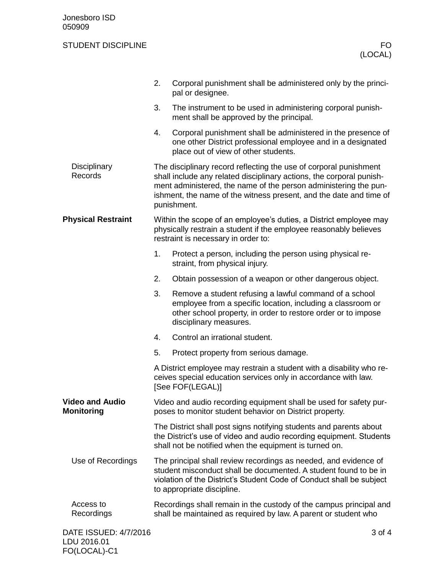## STUDENT DISCIPLINE FO

|                                             | 2.                                                                                                                                                                                                                                                                                                 | Corporal punishment shall be administered only by the princi-<br>pal or designee.                                                                                                                                |  |
|---------------------------------------------|----------------------------------------------------------------------------------------------------------------------------------------------------------------------------------------------------------------------------------------------------------------------------------------------------|------------------------------------------------------------------------------------------------------------------------------------------------------------------------------------------------------------------|--|
|                                             | 3.                                                                                                                                                                                                                                                                                                 | The instrument to be used in administering corporal punish-<br>ment shall be approved by the principal.                                                                                                          |  |
|                                             | 4.                                                                                                                                                                                                                                                                                                 | Corporal punishment shall be administered in the presence of<br>one other District professional employee and in a designated<br>place out of view of other students.                                             |  |
| Disciplinary<br>Records                     | The disciplinary record reflecting the use of corporal punishment<br>shall include any related disciplinary actions, the corporal punish-<br>ment administered, the name of the person administering the pun-<br>ishment, the name of the witness present, and the date and time of<br>punishment. |                                                                                                                                                                                                                  |  |
| <b>Physical Restraint</b>                   | Within the scope of an employee's duties, a District employee may<br>physically restrain a student if the employee reasonably believes<br>restraint is necessary in order to:                                                                                                                      |                                                                                                                                                                                                                  |  |
|                                             | 1.                                                                                                                                                                                                                                                                                                 | Protect a person, including the person using physical re-<br>straint, from physical injury.                                                                                                                      |  |
|                                             | 2.                                                                                                                                                                                                                                                                                                 | Obtain possession of a weapon or other dangerous object.                                                                                                                                                         |  |
|                                             | 3.                                                                                                                                                                                                                                                                                                 | Remove a student refusing a lawful command of a school<br>employee from a specific location, including a classroom or<br>other school property, in order to restore order or to impose<br>disciplinary measures. |  |
|                                             | 4.                                                                                                                                                                                                                                                                                                 | Control an irrational student.                                                                                                                                                                                   |  |
|                                             | 5.                                                                                                                                                                                                                                                                                                 | Protect property from serious damage.                                                                                                                                                                            |  |
|                                             | A District employee may restrain a student with a disability who re-<br>ceives special education services only in accordance with law.<br>[See FOF(LEGAL)]                                                                                                                                         |                                                                                                                                                                                                                  |  |
| <b>Video and Audio</b><br><b>Monitoring</b> | Video and audio recording equipment shall be used for safety pur-<br>poses to monitor student behavior on District property.                                                                                                                                                                       |                                                                                                                                                                                                                  |  |
|                                             | The District shall post signs notifying students and parents about<br>the District's use of video and audio recording equipment. Students<br>shall not be notified when the equipment is turned on.                                                                                                |                                                                                                                                                                                                                  |  |
| Use of Recordings                           | The principal shall review recordings as needed, and evidence of<br>student misconduct shall be documented. A student found to be in<br>violation of the District's Student Code of Conduct shall be subject<br>to appropriate discipline.                                                         |                                                                                                                                                                                                                  |  |
| Access to<br><b>Recordings</b>              |                                                                                                                                                                                                                                                                                                    | Recordings shall remain in the custody of the campus principal and<br>shall be maintained as required by law. A parent or student who                                                                            |  |
| DATE ISSUED: 4/7/2016                       |                                                                                                                                                                                                                                                                                                    | 3 of 4                                                                                                                                                                                                           |  |